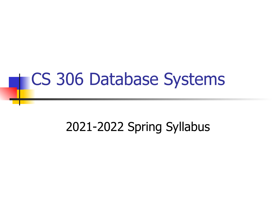## CS 306 Database Systems

#### 2021-2022 Spring Syllabus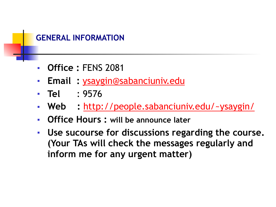

- **Office :** FENS 2081
- **Email :** [ysaygin@sabanciuniv.edu](mailto:ysaygin@sabanciuniv.edu)
- **Tel** : 9576
- **Web :** <http://people.sabanciuniv.edu/~ysaygin/>
- **Office Hours : will be announce later**
- **Use sucourse for discussions regarding the course. (Your TAs will check the messages regularly and inform me for any urgent matter)**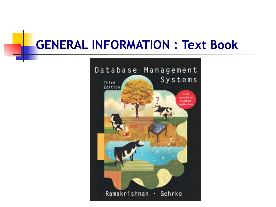#### **GENERAL INFORMATION : Text Book**

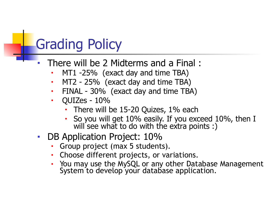## Grading Policy

- There will be 2 Midterms and a Final :
	- $MT1 25%$  (exact day and time TBA)
	- MT2 25% (exact day and time TBA)
	- FINAL 30% (exact day and time TBA)
	- QUIZes 10%
		- There will be  $15-20$  Quizes,  $1\%$  each
		- So you will get 10% easily. If you exceed 10%, then I will see what to do with the extra points :)
- DB Application Project: 10%
	- Group project (max 5 students).
	- Choose different projects, or variations.
	- You may use the MySQL or any other Database Management System to develop your database application.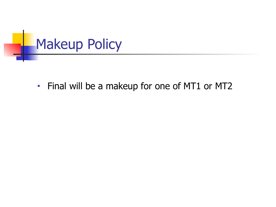

• Final will be a makeup for one of MT1 or MT2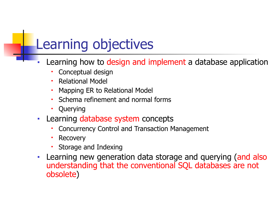## Learning objectives

- Learning how to design and implement a database application
	- Conceptual design
	- Relational Model
	- Mapping ER to Relational Model
	- Schema refinement and normal forms
	- Querying
- Learning database system concepts
	- Concurrency Control and Transaction Management
	- **Recovery**
	- Storage and Indexing
- Learning new generation data storage and querying (and also understanding that the conventional SQL databases are not obsolete)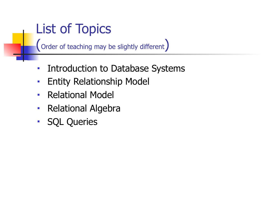## List of Topics

(Order of teaching may be slightly different)

- Introduction to Database Systems
- **Entity Relationship Model**
- Relational Model
- Relational Algebra
- SQL Queries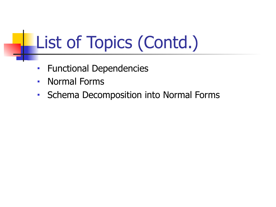# List of Topics (Contd.)

- Functional Dependencies
- Normal Forms
- Schema Decomposition into Normal Forms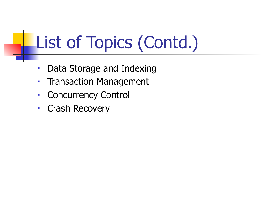# List of Topics (Contd.)

- Data Storage and Indexing
- Transaction Management
- Concurrency Control
- Crash Recovery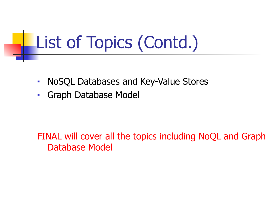# List of Topics (Contd.)

- NoSQL Databases and Key-Value Stores
- Graph Database Model

FINAL will cover all the topics including NoQL and Graph Database Model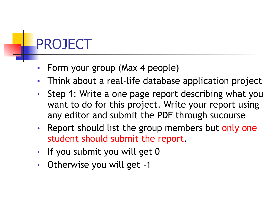## PROJECT

- Form your group (Max 4 people)
- Think about a real-life database application project
- Step 1: Write a one page report describing what you want to do for this project. Write your report using any editor and submit the PDF through sucourse
- Report should list the group members but only one student should submit the report.
- If you submit you will get 0
- Otherwise you will get -1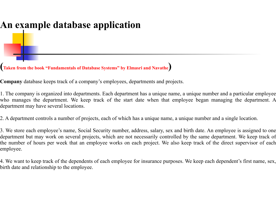#### **An example database application**

**(Taken from the book "Fundamentals of Database Systems" by Elmasri and Navathe)** 

**Company** database keeps track of a company's employees, departments and projects.

1. The company is organized into departments. Each department has a unique name, a unique number and a particular employee who manages the department. We keep track of the start date when that employee began managing the department. A department may have several locations.

2. A department controls a number of projects, each of which has a unique name, a unique number and a single location.

3. We store each employee's name, Social Security number, address, salary, sex and birth date. An employee is assigned to one department but may work on several projects, which are not necessarily controlled by the same department. We keep track of the number of hours per week that an employee works on each project. We also keep track of the direct supervisor of each employee.

4. We want to keep track of the dependents of each employee for insurance purposes. We keep each dependent's first name, sex, birth date and relationship to the employee.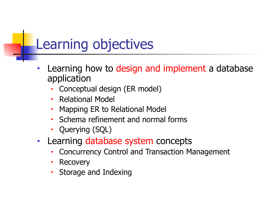### Learning objectives

- Learning how to design and implement a database application
	- Conceptual design (ER model)
	- **Relational Model**
	- Mapping ER to Relational Model
	- Schema refinement and normal forms
	- Querying (SQL)
- Learning database system concepts
	- Concurrency Control and Transaction Management
	- **Recovery**
	- Storage and Indexing